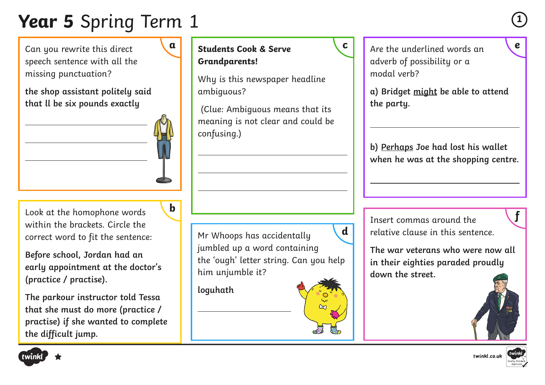# **Year 5** Spring Term 1 **<sup>1</sup>**

Can you rewrite this direct speech sentence with all the missing punctuation?

**the shop assistant politely said that ll be six pounds exactly**

Look at the homophone words within the brackets. Circle the correct word to fit the sentence:

**Before school, Jordan had an early appointment at the doctor's (practice / practise).**

**The parkour instructor told Tessa that she must do more (practice / practise) if she wanted to complete the difficult jump.** 



Why is this newspaper headline ambiguous?

 (Clue: Ambiguous means that its meaning is not clear and could be confusing.)

Mr Whoops has accidentally jumbled up a word containing the 'ough' letter string. Can you help him unjumble it?

**loguhath**



adverb of possibility or a modal verb?

**a) Bridget might be able to attend the party.** 

**b) Perhaps Joe had lost his wallet when he was at the shopping centre.** 

**h l b h b l h l h l h l h l h l h l h l h l h l h l h l h l h l h l h l h l h l h l h l h l h l l h l l l l l l** relative clause in this sentence.

> **The war veterans who were now all in their eighties paraded proudly down the street.**





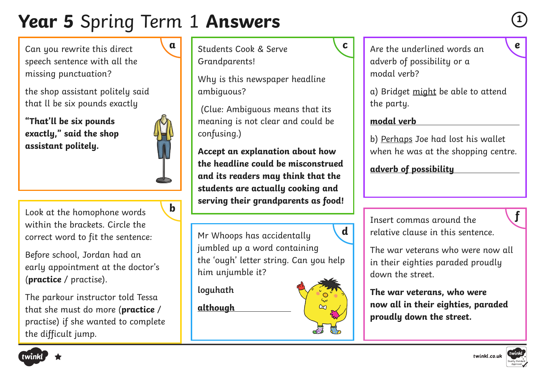## **Year 5** Spring Term 1 **Answers**

Can you rewrite this direct speech sentence with all the missing punctuation?

the shop assistant politely said that ll be six pounds exactly

**"That'll be six pounds exactly," said the shop assistant politely.**

Look at the homophone words within the brackets. Circle the correct word to fit the sentence:

Before school, Jordan had an early appointment at the doctor's (**practice** / practise).

The parkour instructor told Tessa that she must do more (**practice** / practise) if she wanted to complete the difficult jump.

Students Cook & Serve Grandparents!

Why is this newspaper headline ambiguous?

 (Clue: Ambiguous means that its meaning is not clear and could be confusing.)

**Accept an explanation about how the headline could be misconstrued and its readers may think that the students are actually cooking and serving their grandparents as food!**

Mr Whoops has accidentally jumbled up a word containing the 'ough' letter string. Can you help him unjumble it? **d**

 $\alpha$ 

**loguhath**

**although** 

Are the underlined words an **a c e** adverb of possibility or a modal verb?

> a) Bridget might be able to attend the party.

#### **modal verb**

b) Perhaps Joe had lost his wallet when he was at the shopping centre.

**adverb of possibility**

Insert commas around the **<sup>f</sup> <sup>b</sup>**relative clause in this sentence.

> The war veterans who were now all in their eighties paraded proudly down the street.

**The war veterans, who were now all in their eighties, paraded proudly down the street.**







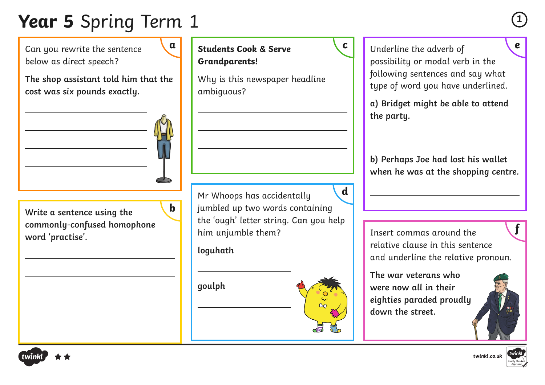# **Year 5** Spring Term 1 **<sup>1</sup>**

Can you rewrite the sentence below as direct speech?





**b**

**Write a sentence using the commonly-confused homophone word 'practise'.**

Mr Whoops has accidentally jumbled up two words containing the 'ough' letter string. Can you help him unjumble them? **d**

**Students Cook & Serve** 

Why is this newspaper headline

**Grandparents!**

ambiguous?

**loguhath**

**goulph**

**a b c c e c e l underline the adverb of <b>c e** possibility or modal verb in the following sentences and say what type of word you have underlined.

> **a) Bridget might be able to attend the party.**

**b) Perhaps Joe had lost his wallet when he was at the shopping centre.** 

Insert commas around the relative clause in this sentence and underline the relative pronoun.

**The war veterans who were now all in their eighties paraded proudly down the street.** 





**f**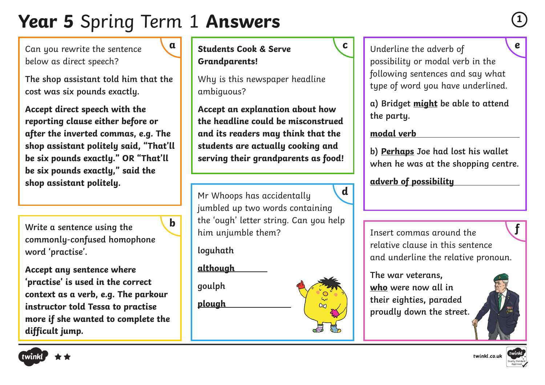## **Year 5** Spring Term 1 **Answers**

Can you rewrite the sentence below as direct speech?

**The shop assistant told him that the cost was six pounds exactly.**

**Accept direct speech with the reporting clause either before or after the inverted commas, e.g. The shop assistant politely said, "That'll be six pounds exactly." OR "That'll be six pounds exactly," said the shop assistant politely.**

**Write a sentence using the commonly-confused homophone word 'practise'.**

**Accept any sentence where 'practise' is used in the correct context as a verb, e.g. The parkour instructor told Tessa to practise more if she wanted to complete the difficult jump.** 

**Students Cook & Serve Grandparents!**

Why is this newspaper headline ambiguous?

**Accept an explanation about how the headline could be misconstrued and its readers may think that the students are actually cooking and serving their grandparents as food!**

Mr Whoops has accidentally jumbled up two words containing **h** the 'ough' letter string. Can you help **find the** the string of the **head of the string of the string of the string of the <b>f** him unjumble them? **d**

**loguhath**

**although** 

**goulph**

**plough** 



**a) Bridget might be able to attend the party.** 

#### **modal verb**

**b) Perhaps Joe had lost his wallet when he was at the shopping centre.** 

**adverb of possibility**

Insert commas around the relative clause in this sentence and underline the relative pronoun.

**The war veterans, who were now all in their eighties, paraded proudly down the street.** 





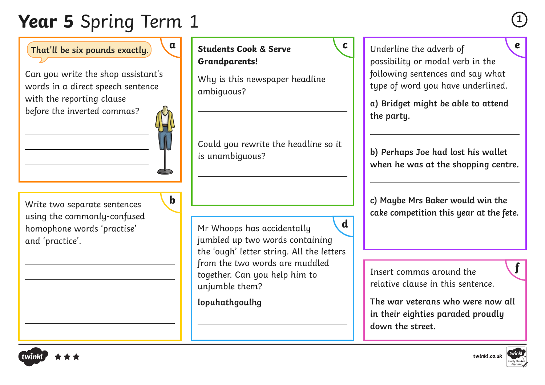# **Year 5** Spring Term 1 **<sup>1</sup>**

That'll be six pounds exactly.  $\begin{bmatrix} a \\ c \end{bmatrix}$  Students Cook & Serve  $\begin{bmatrix} c \\ d \end{bmatrix}$  Underline the adverb of

Can you write the shop assistant's words in a direct speech sentence with the reporting clause before the inverted commas?



**b**

Write two separate sentences using the commonly-confused homophone words 'practise' and 'practice'.

**a d students Cook & Serve c Grandparents!**

> Why is this newspaper headline ambiguous?

Could you rewrite the headline so it is unambiguous?

Mr Whoops has accidentally jumbled up two words containing the 'ough' letter string. All the letters from the two words are muddled together. Can you help him to unjumble them? **d**

**lopuhathgoulhg**

possibility or modal verb in the following sentences and say what type of word you have underlined.

**a) Bridget might be able to attend the party.** 

**b) Perhaps Joe had lost his wallet when he was at the shopping centre.** 

**c) Maybe Mrs Baker would win the cake competition this year at the fete.** 

Insert commas around the relative clause in this sentence.

**The war veterans who were now all in their eighties paraded proudly down the street.**



**f**